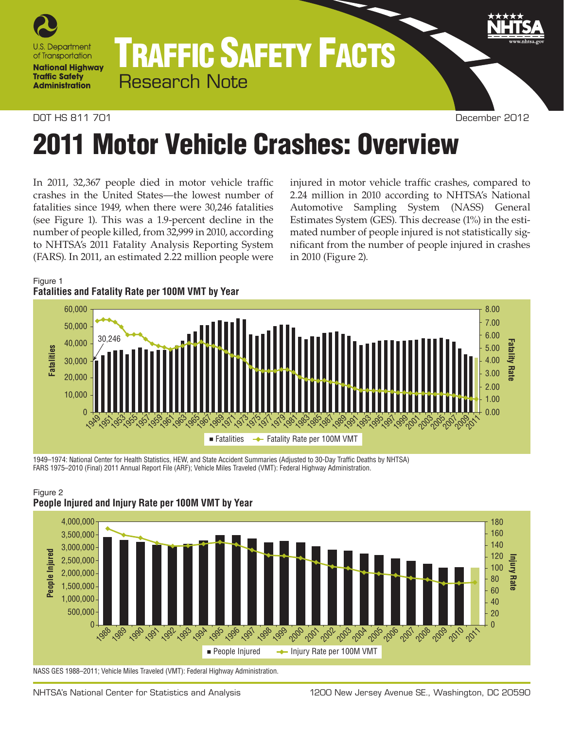

## TRAFFIC SAFETY FACTS Research Note

DOT HS 811 701 December 2012

# 2011 Motor Vehicle Crashes: Overview

In 2011, 32,367 people died in motor vehicle traffic crashes in the United States—the lowest number of fatalities since 1949, when there were 30,246 fatalities (see Figure 1). This was a 1.9-percent decline in the number of people killed, from 32,999 in 2010, according to NHTSA's 2011 Fatality Analysis Reporting System (FARS). In 2011, an estimated 2.22 million people were

injured in motor vehicle traffic crashes, compared to 2.24 million in 2010 according to NHTSA's National Automotive Sampling System (NASS) General Estimates System (GES). This decrease (1%) in the estimated number of people injured is not statistically significant from the number of people injured in crashes in 2010 (Figure 2).

### Figure 1 **Fatalities and Fatality Rate per 100M VMT by Year**



1949–1974: National Center for Health Statistics, HEW, and State Accident Summaries (Adjusted to 30-Day Traffic Deaths by NHTSA) FARS 1975–2010 (Final) 2011 Annual Report File (ARF); Vehicle Miles Traveled (VMT): Federal Highway Administration.



#### Figure 2 **People Injured and Injury Rate per 100M VMT by Year**

NASS GES 1988–2011; Vehicle Miles Traveled (VMT): Federal Highway Administration.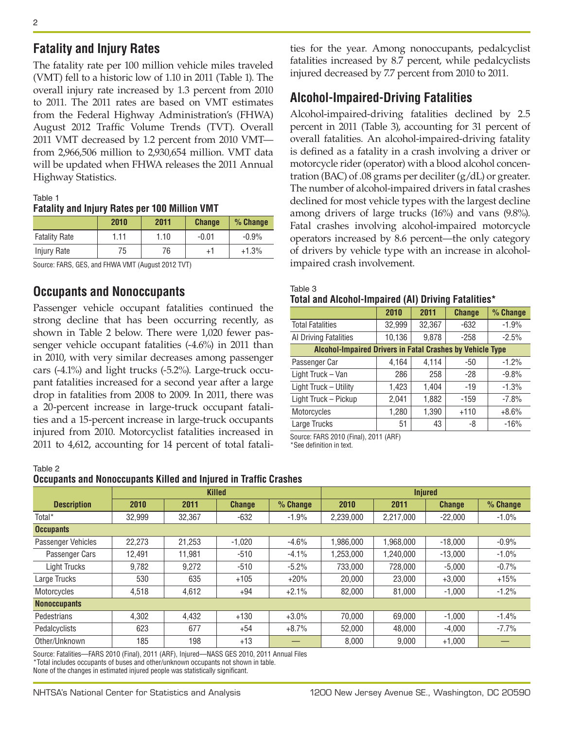## **Fatality and Injury Rates**

The fatality rate per 100 million vehicle miles traveled (VMT) fell to a historic low of 1.10 in 2011 (Table 1). The overall injury rate increased by 1.3 percent from 2010 to 2011. The 2011 rates are based on VMT estimates from the Federal Highway Administration's (FHWA) August 2012 Traffic Volume Trends (TVT). Overall 2011 VMT decreased by 1.2 percent from 2010 VMT from 2,966,506 million to 2,930,654 million. VMT data will be updated when FHWA releases the 2011 Annual Highway Statistics.

#### Table 1

#### **Fatality and Injury Rates per 100 Million VMT**

|                      | 2010 | 2011 | <b>Change</b> | % Change |
|----------------------|------|------|---------------|----------|
| <b>Fatality Rate</b> | 1.11 | 1.10 | $-0.01$       | $-0.9%$  |
| Injury Rate          | 75   | 76   | +1            | $+1.3%$  |

Source: FARS, GES, and FHWA VMT (August 2012 TVT)

## **Occupants and Nonoccupants**

Passenger vehicle occupant fatalities continued the strong decline that has been occurring recently, as shown in Table 2 below. There were 1,020 fewer passenger vehicle occupant fatalities (-4.6%) in 2011 than in 2010, with very similar decreases among passenger cars (-4.1%) and light trucks (-5.2%). Large-truck occupant fatalities increased for a second year after a large drop in fatalities from 2008 to 2009. In 2011, there was a 20-percent increase in large-truck occupant fatalities and a 15-percent increase in large-truck occupants injured from 2010. Motorcyclist fatalities increased in 2011 to 4,612, accounting for 14 percent of total fatalities for the year. Among nonoccupants, pedalcyclist fatalities increased by 8.7 percent, while pedalcyclists injured decreased by 7.7 percent from 2010 to 2011.

## **Alcohol-Impaired-Driving Fatalities**

Alcohol-impaired-driving fatalities declined by 2.5 percent in 2011 (Table 3), accounting for 31 percent of overall fatalities. An alcohol-impaired-driving fatality is defined as a fatality in a crash involving a driver or motorcycle rider (operator) with a blood alcohol concentration (BAC) of .08 grams per deciliter (g/dL) or greater. The number of alcohol-impaired drivers in fatal crashes declined for most vehicle types with the largest decline among drivers of large trucks (16%) and vans (9.8%). Fatal crashes involving alcohol-impaired motorcycle operators increased by 8.6 percent—the only category of drivers by vehicle type with an increase in alcoholimpaired crash involvement.

#### Table 3 **Total and Alcohol-Impaired (AI) Driving Fatalities\***

|                                                           | 2010   | 2011   | <b>Change</b> | % Change |  |  |  |
|-----------------------------------------------------------|--------|--------|---------------|----------|--|--|--|
| <b>Total Fatalities</b>                                   | 32,999 | 32,367 | -632          | $-1.9%$  |  |  |  |
| Al Driving Fatalities                                     | 10,136 | 9,878  | $-258$        | $-2.5%$  |  |  |  |
| Alcohol-Impaired Drivers in Fatal Crashes by Vehicle Type |        |        |               |          |  |  |  |
| Passenger Car                                             | 4,164  | 4,114  | -50           | $-1.2%$  |  |  |  |
| Light Truck - Van                                         | 286    | 258    | $-28$         | $-9.8%$  |  |  |  |
| Light Truck - Utility                                     | 1,423  | 1,404  | $-19$         | $-1.3%$  |  |  |  |
| Light Truck - Pickup                                      | 2,041  | 1,882  | $-159$        | $-7.8%$  |  |  |  |
| Motorcycles                                               | 1,280  | 1,390  | $+110$        | $+8.6%$  |  |  |  |
| Large Trucks                                              | 51     | 43     | -8            | $-16%$   |  |  |  |

Source: FARS 2010 (Final), 2011 (ARF)

\*See definition in text.

**Occupants and Nonoccupants Killed and Injured in Traffic Crashes**

|                     | <b>Killed</b> |        |               | <b>Injured</b> |           |           |               |          |
|---------------------|---------------|--------|---------------|----------------|-----------|-----------|---------------|----------|
| <b>Description</b>  | 2010          | 2011   | <b>Change</b> | $%$ Change     | 2010      | 2011      | <b>Change</b> | % Change |
| Total <sup>*</sup>  | 32.999        | 32,367 | $-632$        | $-1.9%$        | 2,239,000 | 2,217,000 | $-22,000$     | $-1.0\%$ |
| <b>Occupants</b>    |               |        |               |                |           |           |               |          |
| Passenger Vehicles  | 22.273        | 21.253 | $-1.020$      | $-4.6%$        | .986.000  | 1.968.000 | $-18.000$     | $-0.9%$  |
| Passenger Cars      | 12.491        | 11.981 | $-510$        | $-4.1%$        | .253.000  | 1.240.000 | $-13.000$     | $-1.0%$  |
| <b>Light Trucks</b> | 9.782         | 9.272  | $-510$        | $-5.2%$        | 733,000   | 728,000   | $-5.000$      | $-0.7%$  |
| Large Trucks        | 530           | 635    | $+105$        | $+20%$         | 20,000    | 23.000    | $+3,000$      | $+15%$   |
| Motorcycles         | 4,518         | 4.612  | +94           | $+2.1%$        | 82,000    | 81.000    | $-1,000$      | $-1.2%$  |
| <b>Nonoccupants</b> |               |        |               |                |           |           |               |          |
| Pedestrians         | 4.302         | 4.432  | $+130$        | $+3.0%$        | 70.000    | 69.000    | $-1.000$      | $-1.4%$  |
| Pedalcyclists       | 623           | 677    | $+54$         | $+8.7%$        | 52.000    | 48.000    | $-4.000$      | $-7.7%$  |
| Other/Unknown       | 185           | 198    | $+13$         |                | 8,000     | 9.000     | $+1,000$      |          |

Source: Fatalities—FARS 2010 (Final), 2011 (ARF), Injured—NASS GES 2010, 2011 Annual Files \*Total includes occupants of buses and other/unknown occupants not shown in table. None of the changes in estimated injured people was statistically significant.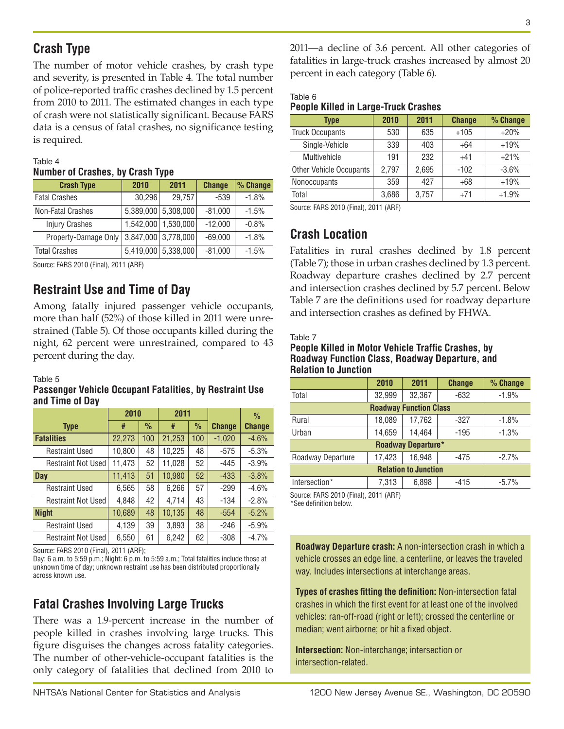## **Crash Type**

The number of motor vehicle crashes, by crash type and severity, is presented in Table 4. The total number of police-reported traffic crashes declined by 1.5 percent from 2010 to 2011. The estimated changes in each type of crash were not statistically significant. Because FARS data is a census of fatal crashes, no significance testing is required.

### Table 4 **Number of Crashes, by Crash Type**

| 2010                 | 2011   | <b>Change</b> | % Change                                                                                 |
|----------------------|--------|---------------|------------------------------------------------------------------------------------------|
|                      | 29,757 | $-539$        | $-1.8%$                                                                                  |
|                      |        | $-81,000$     | $-1.5%$                                                                                  |
|                      |        | $-12,000$     | $-0.8%$                                                                                  |
| Property-Damage Only |        | $-69,000$     | $-1.8%$                                                                                  |
|                      |        | $-81,000$     | $-1.5%$                                                                                  |
|                      |        | 30,296        | 5,389,000 5,308,000<br>1,542,000 1,530,000<br>3,847,000 3,778,000<br>5,419,000 5,338,000 |

Source: FARS 2010 (Final), 2011 (ARF)

## **Restraint Use and Time of Day**

Among fatally injured passenger vehicle occupants, more than half (52%) of those killed in 2011 were unrestrained (Table 5). Of those occupants killed during the night, 62 percent were unrestrained, compared to 43 percent during the day.

#### Table 5

#### **Passenger Vehicle Occupant Fatalities, by Restraint Use and Time of Day**

|                           | 2010   |      | 2011   |               |               | %             |
|---------------------------|--------|------|--------|---------------|---------------|---------------|
| <b>Type</b>               | #      | $\%$ | #      | $\frac{0}{0}$ | <b>Change</b> | <b>Change</b> |
| <b>Fatalities</b>         | 22,273 | 100  | 21,253 | 100           | $-1,020$      | $-4.6%$       |
| <b>Restraint Used</b>     | 10,800 | 48   | 10,225 | 48            | $-575$        | $-5.3%$       |
| <b>Restraint Not Used</b> | 11,473 | 52   | 11,028 | 52            | -445          | $-3.9%$       |
| <b>Day</b>                | 11,413 | 51   | 10,980 | 52            | $-433$        | $-3.8%$       |
| <b>Restraint Used</b>     | 6,565  | 58   | 6,266  | 57            | -299          | $-4.6%$       |
| <b>Restraint Not Used</b> | 4,848  | 42   | 4,714  | 43            | $-134$        | $-2.8%$       |
| <b>Night</b>              | 10,689 | 48   | 10,135 | 48            | $-554$        | $-5.2%$       |
| <b>Restraint Used</b>     | 4,139  | 39   | 3,893  | 38            | $-246$        | $-5.9%$       |
| <b>Restraint Not Used</b> | 6,550  | 61   | 6,242  | 62            | -308          | $-4.7%$       |

Source: FARS 2010 (Final), 2011 (ARF);

Day: 6 a.m. to 5:59 p.m.; Night: 6 p.m. to 5:59 a.m.; Total fatalities include those at unknown time of day; unknown restraint use has been distributed proportionally across known use.

## **Fatal Crashes Involving Large Trucks**

There was a 1.9-percent increase in the number of people killed in crashes involving large trucks. This figure disguises the changes across fatality categories. The number of other-vehicle-occupant fatalities is the only category of fatalities that declined from 2010 to 2011—a decline of 3.6 percent. All other categories of fatalities in large-truck crashes increased by almost 20 percent in each category (Table 6).

## Table 6 **People Killed in Large-Truck Crashes**

| <b>Type</b>                    | 2010  | 2011  | <b>Change</b> | % Change |
|--------------------------------|-------|-------|---------------|----------|
| <b>Truck Occupants</b>         | 530   | 635   | $+105$        | $+20%$   |
| Single-Vehicle                 | 339   | 403   | $+64$         | $+19%$   |
| Multivehicle                   | 191   | 232   | $+41$         | $+21%$   |
| <b>Other Vehicle Occupants</b> | 2.797 | 2,695 | $-102$        | $-3.6%$  |
| Nonoccupants                   | 359   | 427   | $+68$         | $+19%$   |
| Total                          | 3,686 | 3,757 | $+71$         | $+1.9%$  |

Source: FARS 2010 (Final), 2011 (ARF)

## **Crash Location**

Fatalities in rural crashes declined by 1.8 percent (Table 7); those in urban crashes declined by 1.3 percent. Roadway departure crashes declined by 2.7 percent and intersection crashes declined by 5.7 percent. Below Table 7 are the definitions used for roadway departure and intersection crashes as defined by FHWA.

#### Table 7

#### **People Killed in Motor Vehicle Traffic Crashes, by Roadway Function Class, Roadway Departure, and Relation to Junction**

|                               | 2010   | 2011   | <b>Change</b> | % Change |  |  |  |
|-------------------------------|--------|--------|---------------|----------|--|--|--|
| Total                         | 32,999 | 32,367 | $-632$        | $-1.9%$  |  |  |  |
| <b>Roadway Function Class</b> |        |        |               |          |  |  |  |
| Rural                         | 18,089 | 17,762 | $-327$        | $-1.8%$  |  |  |  |
| Urban                         | 14,659 | 14.464 | $-195$        | $-1.3%$  |  |  |  |
| <b>Roadway Departure*</b>     |        |        |               |          |  |  |  |
| Roadway Departure             | 17,423 | 16,948 | -475          | $-2.7%$  |  |  |  |
| <b>Relation to Junction</b>   |        |        |               |          |  |  |  |
| Intersection*                 | 7,313  | 6,898  | $-415$        | $-5.7\%$ |  |  |  |
|                               |        |        |               |          |  |  |  |

Source: FARS 2010 (Final), 2011 (ARF)

\*See definition below.

**Roadway Departure crash:** A non-intersection crash in which a vehicle crosses an edge line, a centerline, or leaves the traveled way. Includes intersections at interchange areas.

**Types of crashes fitting the definition:** Non-intersection fatal crashes in which the first event for at least one of the involved vehicles: ran-off-road (right or left); crossed the centerline or median; went airborne; or hit a fixed object.

**Intersection:** Non-interchange; intersection or intersection-related.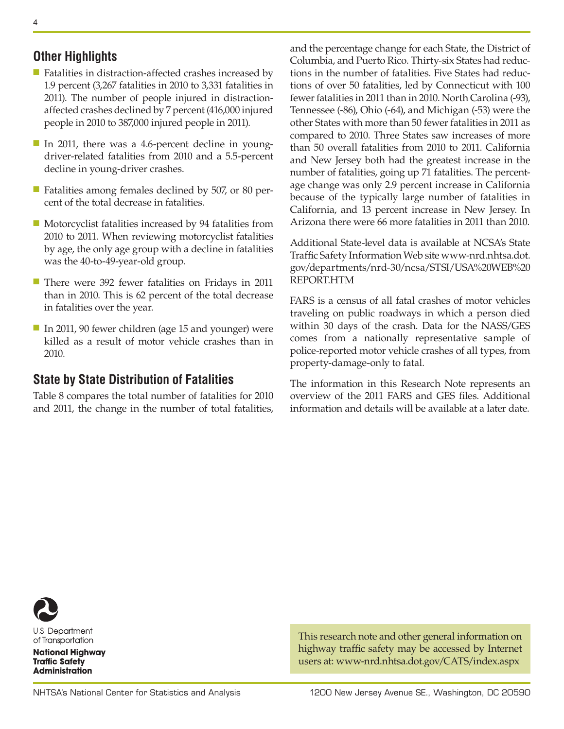## **Other Highlights**

- Fatalities in distraction-affected crashes increased by 1.9 percent (3,267 fatalities in 2010 to 3,331 fatalities in 2011). The number of people injured in distractionaffected crashes declined by 7 percent (416,000 injured people in 2010 to 387,000 injured people in 2011).
- In 2011, there was a 4.6-percent decline in youngdriver-related fatalities from 2010 and a 5.5-percent decline in young-driver crashes.
- Fatalities among females declined by 507, or 80 percent of the total decrease in fatalities.
- Motorcyclist fatalities increased by 94 fatalities from 2010 to 2011. When reviewing motorcyclist fatalities by age, the only age group with a decline in fatalities was the 40-to-49-year-old group.
- There were 392 fewer fatalities on Fridays in 2011 than in 2010. This is 62 percent of the total decrease in fatalities over the year.
- In 2011, 90 fewer children (age 15 and younger) were killed as a result of motor vehicle crashes than in 2010.

## **State by State Distribution of Fatalities**

Table 8 compares the total number of fatalities for 2010 and 2011, the change in the number of total fatalities, and the percentage change for each State, the District of Columbia, and Puerto Rico. Thirty-six States had reductions in the number of fatalities. Five States had reductions of over 50 fatalities, led by Connecticut with 100 fewer fatalities in 2011 than in 2010. North Carolina (-93), Tennessee (-86), Ohio (-64), and Michigan (-53) were the other States with more than 50 fewer fatalities in 2011 as compared to 2010. Three States saw increases of more than 50 overall fatalities from 2010 to 2011. California and New Jersey both had the greatest increase in the number of fatalities, going up 71 fatalities. The percentage change was only 2.9 percent increase in California because of the typically large number of fatalities in California, and 13 percent increase in New Jersey. In Arizona there were 66 more fatalities in 2011 than 2010.

Additional State-level data is available at NCSA's State Traffic Safety Information Web site www-nrd.nhtsa.dot. gov/departments/nrd-30/ncsa/STSI/USA%20WEB%20 REPORT.HTM

FARS is a census of all fatal crashes of motor vehicles traveling on public roadways in which a person died within 30 days of the crash. Data for the NASS/GES comes from a nationally representative sample of police-reported motor vehicle crashes of all types, from property-damage-only to fatal.

The information in this Research Note represents an overview of the 2011 FARS and GES files. Additional information and details will be available at a later date.



U.S. Department of Transportation

**National Highway Traffic Safety Administration** 

This research note and other general information on highway traffic safety may be accessed by Internet users at: [www-nrd.nhtsa.dot.gov/CATS/index.aspx](http://www-nrd.nhtsa.dot.gov/CATS/index.aspx)